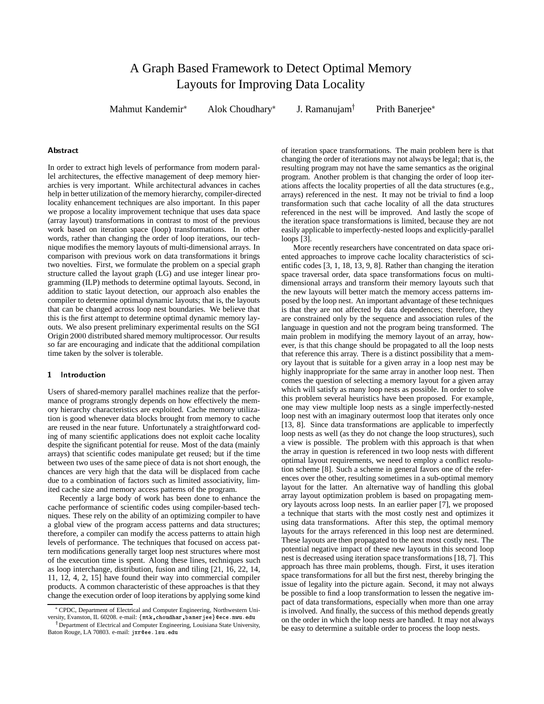# A Graph Based Framework to Detect Optimal Memory Layouts for Improving Data Locality

Mahmut Kandemir

Alok Choudhary

J. Ramanujam $<sup>†</sup>$ </sup>

Prith Banerjee

# Abstract

In order to extract high levels of performance from modern parallel architectures, the effective management of deep memory hierarchies is very important. While architectural advances in caches help in better utilization of the memory hierarchy, compiler-directed locality enhancement techniques are also important. In this paper we propose a locality improvement technique that uses data space (array layout) transformations in contrast to most of the previous work based on iteration space (loop) transformations. In other words, rather than changing the order of loop iterations, our technique modifies the memory layouts of multi-dimensional arrays. In comparison with previous work on data transformations it brings two novelties. First, we formulate the problem on a special graph structure called the layout graph (LG) and use integer linear programming (ILP) methods to determine optimal layouts. Second, in addition to static layout detection, our approach also enables the compiler to determine optimal dynamic layouts; that is, the layouts that can be changed across loop nest boundaries. We believe that this is the first attempt to determine optimal dynamic memory layouts. We also present preliminary experimental results on the SGI Origin <sup>2000</sup> distributed shared memory multiprocessor. Our results so far are encouraging and indicate that the additional compilation time taken by the solver is tolerable.

#### $\mathbf{1}$ **Introduction**

Users of shared-memory parallel machines realize that the performance of programs strongly depends on how effectively the memory hierarchy characteristics are exploited. Cache memory utilization is good whenever data blocks brought from memory to cache are reused in the near future. Unfortunately a straightforward coding of many scientific applications does not exploit cache locality despite the significant potential for reuse. Most of the data (mainly arrays) that scientific codes manipulate get reused; but if the time between two uses of the same piece of data is not short enough, the chances are very high that the data will be displaced from cache due to a combination of factors such as limited associativity, limited cache size and memory access patterns of the program.

Recently a large body of work has been done to enhance the cache performance of scientific codes using compiler-based techniques. These rely on the ability of an optimizing compiler to have a global view of the program access patterns and data structures; therefore, a compiler can modify the access patterns to attain high levels of performance. The techniques that focused on access pattern modifications generally target loop nest structures where most of the execution time is spent. Along these lines, techniques such as loop interchange, distribution, fusion and tiling [21, 16, 22, 14, 11, 12, 4, 2, 15] have found their way into commercial compiler products. A common characteristic of these approaches is that they change the execution order of loop iterations by applying some kind of iteration space transformations. The main problem here is that changing the order of iterations may not always be legal; that is, the resulting program may not have the same semantics as the original program. Another problem is that changing the order of loop iterations affects the locality properties of all the data structures (e.g., arrays) referenced in the nest. It may not be trivial to find a loop transformation such that cache locality of all the data structures referenced in the nest will be improved. And lastly the scope of the iteration space transformations is limited, because they are not easily applicable to imperfectly-nested loops and explicitly-parallel loops [3].

More recently researchers have concentrated on data space oriented approaches to improve cache locality characteristics of scientific codes [3, 1, 18, 13, 9, 8]. Rather than changing the iteration space traversal order, data space transformations focus on multidimensional arrays and transform their memory layouts such that the new layouts will better match the memory access patterns imposed by the loop nest. An important advantage of these techniques is that they are not affected by data dependences; therefore, they are constrained only by the sequence and association rules of the language in question and not the program being transformed. The main problem in modifying the memory layout of an array, however, is that this change should be propagated to all the loop nests that reference this array. There is a distinct possibility that a memory layout that is suitable for a given array in a loop nest may be highly inappropriate for the same array in another loop nest. Then comes the question of selecting a memory layout for a given array which will satisfy as many loop nests as possible. In order to solve this problem several heuristics have been proposed. For example, one may view multiple loop nests as a single imperfectly-nested loop nest with an imaginary outermost loop that iterates only once [13, 8]. Since data transformations are applicable to imperfectly loop nests as well (as they do not change the loop structures), such a view is possible. The problem with this approach is that when the array in question is referenced in two loop nests with different optimal layout requirements, we need to employ a conflict resolution scheme [8]. Such a scheme in general favors one of the references over the other, resulting sometimes in a sub-optimal memory layout for the latter. An alternative way of handling this global array layout optimization problem is based on propagating memory layouts across loop nests. In an earlier paper [7], we proposed a technique that starts with the most costly nest and optimizes it using data transformations. After this step, the optimal memory layouts for the arrays referenced in this loop nest are determined. These layouts are then propagated to the next most costly nest. The potential negative impact of these new layouts in this second loop nest is decreased using iteration space transformations [18, 7]. This approach has three main problems, though. First, it uses iteration space transformations for all but the first nest, thereby bringing the issue of legality into the picture again. Second, it may not always be possible to find a loop transformation to lessen the negative impact of data transformations, especially when more than one array is involved. And finally, the success of this method depends greatly on the order in which the loop nests are handled. It may not always be easy to determine a suitable order to process the loop nests.

CPDC, Department of Electrical and Computer Engineering, Northwestern University, Evanston, IL 60208. e-mail: {mtk, choudhar, baner jee}@ece.nwu.edu

<sup>&</sup>lt;sup>†</sup> Department of Electrical and Computer Engineering, Louisiana State University, Baton Rouge, LA 70803. e-mail: jxr@ee.lsu.edu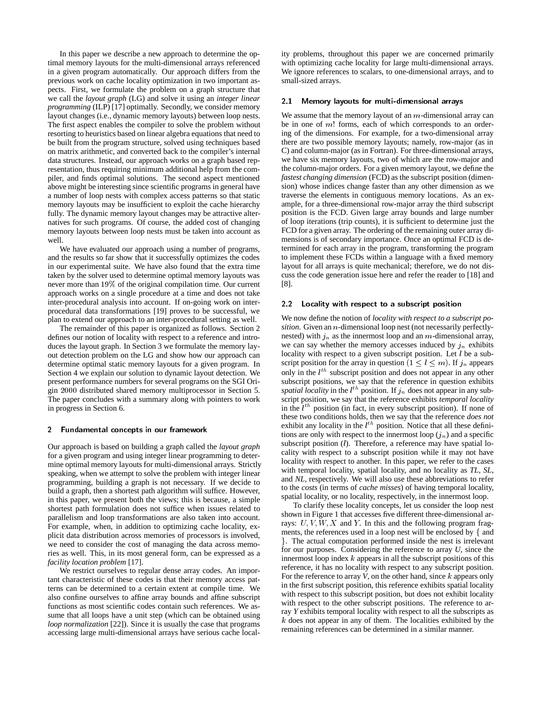In this paper we describe a new approach to determine the optimal memory layouts for the multi-dimensional arrays referenced in a given program automatically. Our approach differs from the previous work on cache locality optimization in two important aspects. First, we formulate the problem on a graph structure that we call the *layout graph* (LG) and solve it using an *integer linear programming* (ILP) [17] optimally. Secondly, we consider memory layout changes (i.e., dynamic memory layouts) between loop nests. The first aspect enables the compiler to solve the problem without resorting to heuristics based on linear algebra equations that need to be built from the program structure, solved using techniques based on matrix arithmetic, and converted back to the compiler's internal data structures. Instead, our approach works on a graph based representation, thus requiring minimum additional help from the compiler, and finds optimal solutions. The second aspect mentioned above might be interesting since scientific programs in general have a number of loop nests with complex access patterns so that static memory layouts may be insufficient to exploit the cache hierarchy fully. The dynamic memory layout changes may be attractive alternatives for such programs. Of course, the added cost of changing memory layouts between loop nests must be taken into account as well.

We have evaluated our approach using a number of programs, and the results so far show that it successfully optimizes the codes in our experimental suite. We have also found that the extra time taken by the solver used to determine optimal memory layouts was never more than 19% of the original compilation time. Our current approach works on a single procedure at a time and does not take inter-procedural analysis into account. If on-going work on interprocedural data transformations [19] proves to be successful, we plan to extend our approach to an inter-procedural setting as well.

The remainder of this paper is organized as follows. Section 2 defines our notion of locality with respect to a reference and introduces the layout graph. In Section 3 we formulate the memory layout detection problem on the LG and show how our approach can determine optimal static memory layouts for a given program. In Section 4 we explain our solution to dynamic layout detection. We present performance numbers for several programs on the SGI Origin <sup>2000</sup> distributed shared memory multiprocessor in Section 5. The paper concludes with a summary along with pointers to work in progress in Section 6.

#### $2^{\circ}$ Fundamental concepts in our framework

Our approach is based on building a graph called the *layout graph* for a given program and using integer linear programming to determine optimal memory layouts for multi-dimensional arrays. Strictly speaking, when we attempt to solve the problem with integer linear programming, building a graph is not necessary. If we decide to build a graph, then a shortest path algorithm will suffice. However, in this paper, we present both the views; this is because, a simple shortest path formulation does not suffice when issues related to parallelism and loop transformations are also taken into account. For example, when, in addition to optimizing cache locality, explicit data distribution across memories of processors is involved, we need to consider the cost of managing the data across memories as well. This, in its most general form, can be expressed as a *facility location problem* [17].

We restrict ourselves to regular dense array codes. An important characteristic of these codes is that their memory access patterns can be determined to a certain extent at compile time. We also confine ourselves to affine array bounds and affine subscript functions as most scientific codes contain such references. We assume that all loops have a unit step (which can be obtained using *loop normalization* [22]). Since it is usually the case that programs accessing large multi-dimensional arrays have serious cache locality problems, throughout this paper we are concerned primarily with optimizing cache locality for large multi-dimensional arrays. We ignore references to scalars, to one-dimensional arrays, and to small-sized arrays.

# 2.1 Memory layouts for multi-dimensional arrays

We assume that the memory layout of an  $m$ -dimensional array can be in one of  $m!$  forms, each of which corresponds to an ordering of the dimensions. For example, for a two-dimensional array there are two possible memory layouts; namely, row-major (as in C) and column-major (as in Fortran). For three-dimensional arrays, we have six memory layouts, two of which are the row-major and the column-major orders. For a given memory layout, we define the *fastest changing dimension* (FCD) as the subscript position (dimension) whose indices change faster than any other dimension as we traverse the elements in contiguous memory locations. As an example, for a three-dimensional row-major array the third subscript position is the FCD. Given large array bounds and large number of loop iterations (trip counts), it is sufficient to determine just the FCD for a given array. The ordering of the remaining outer array dimensions is of secondary importance. Once an optimal FCD is determined for each array in the program, transforming the program to implement these FCDs within a language with a fixed memory layout for all arrays is quite mechanical; therefore, we do not discuss the code generation issue here and refer the reader to [18] and [8].

### 2.2 Locality with respect to a subscript position

We now define the notion of *locality with respect to a subscript position*. Given an *n*-dimensional loop nest (not necessarily perfectlynested) with  $j_n$  as the innermost loop and an m-dimensional array, we can say whether the memory accesses induced by  $j_n$  exhibits locality with respect to a given subscript position. Let *l* be a subscript position for the array in question  $(1 \le l \le m)$ . If  $j_n$  appears only in the  $l^{th}$  subscript position and does not appear in any other subscript positions, we say that the reference in question exhibits *spatial locality* in the  $l^{th}$  position. If  $j_n$  does not appear in any subscript position, we say that the reference exhibits *temporal locality* in the  $l^{th}$  position (in fact, in every subscript position). If none of these two conditions holds, then we say that the reference *does not* exhibit any locality in the  $l^{th}$  position. Notice that all these definitions are only with respect to the innermost loop  $(j_n)$  and a specific subscript position (*l*). Therefore, a reference may have spatial locality with respect to a subscript position while it may not have locality with respect to another. In this paper, we refer to the cases with temporal locality, spatial locality, and no locality as *TL*, *SL*, and *NL*, respectively. We will also use these abbreviations to refer to the *costs* (in terms of *cache misses*) of having temporal locality, spatial locality, or no locality, respectively, in the innermost loop.

To clarify these locality concepts, let us consider the loop nest shown in Figure 1 that accesses five different three-dimensional arrays:  $U, V, W, X$  and Y. In this and the following program fragments, the references used in a loop nest will be enclosed by f and g. The actual computation performed inside the nest is irrelevant for our purposes. Considering the reference to array *U*, since the innermost loop index  $k$  appears in all the subscript positions of this reference, it has no locality with respect to any subscript position. For the reference to array *V*, on the other hand, since *k* appears only in the first subscript position, this reference exhibits spatial locality with respect to this subscript position, but does not exhibit locality with respect to the other subscript positions. The reference to array *Y* exhibits temporal locality with respect to all the subscripts as  $k$  does not appear in any of them. The localities exhibited by the remaining references can be determined in a similar manner.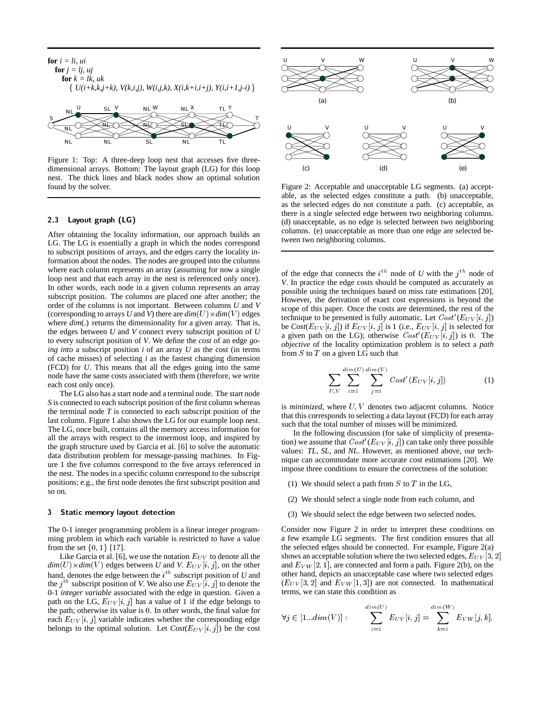

Figure 1: Top: A three-deep loop nest that accesses five threedimensional arrays. Bottom: The layout graph (LG) for this loop nest. The thick lines and black nodes show an optimal solution found by the solver.

# 2.3 Layout graph (LG)

After obtaining the locality information, our approach builds an LG. The LG is essentially a graph in which the nodes correspond to subscript positions of arrays, and the edges carry the locality information about the nodes. The nodes are grouped into the columns where each column represents an array (assuming for now a single loop nest and that each array in the nest is referenced only once). In other words, each node in a given column represents an array subscript position. The columns are placed one after another; the order of the columns is not important. Between columns *U* and *V* (corresponding to arrays *U* and *V*) there are  $dim(U) \times dim(V)$  edges where  $dim(.)$  returns the dimensionality for a given array. That is, the edges between *U* and *V* connect every subscript position of *U* to every subscript position of *V*. We define the *cost* of an edge *going into* a subscript position *i* of an array *U* as the cost (in terms of cache misses) of selecting *i* as the fastest changing dimension (FCD) for *U*. This means that all the edges going into the same node have the same costs associated with them (therefore, we write each cost only once).

The LG also has a start node and a terminal node. The start node *S* is connected to each subscript position of the first column whereas the terminal node *T* is connected to each subscript position of the last column. Figure 1 also shows the LG for our example loop nest. The LG, once built, contains all the memory access information for all the arrays with respect to the innermost loop, and inspired by the graph structure used by Garcia et al. [6] to solve the automatic data distribution problem for message-passing machines. In Figure 1 the five columns correspond to the five arrays referenced in the nest. The nodes in a specific column correspond to the subscript positions; e.g., the first node denotes the first subscript position and so on.

#### 3 Static memory layout detection

The 0-1 integer programming problem is a linear integer programming problem in which each variable is restricted to have a value from the set  $\{0, 1\}$  [17].

Like Garcia et al. [6], we use the notation  $E_{UV}$  to denote all the  $dim(U) \times dim(V)$  edges between *U* and *V*.  $E_{UV}[i, j]$ , on the other hand, denotes the edge between the  $i<sup>th</sup>$  subscript position of *U* and the  $j^{th}$  subscript position of *V*. We also use  $E_{UV}[i, j]$  to denote the 0-1 *integer variable* associated with the edge in question. Given a path on the LG,  $E_{UV}[i, j]$  has a value of 1 if the edge belongs to the path; otherwise its value is <sup>0</sup>. In other words, the final value for each  $E_{UV}[i, j]$  variable indicates whether the corresponding edge belongs to the optimal solution. Let  $Cost(E_{UV}[i, j])$  be the cost



Figure 2: Acceptable and unacceptable LG segments. (a) acceptable, as the selected edges constitute a path. (b) unacceptable, as the selected edges do not constitute a path. (c) acceptable, as there is a single selected edge between two neighboring columns. (d) unacceptable, as no edge is selected between two neighboring columns. (e) unacceptable as more than one edge are selected between two neighboring columns.

of the edge that connects the  $i^{th}$  node of *U* with the  $j^{th}$  node of *V*. In practice the edge costs should be computed as accurately as possible using the techniques based on miss rate estimations [20]. However, the derivation of exact cost expressions is beyond the scope of this paper. Once the costs are determined, the rest of the technique to be presented is fully automatic. Let  $Cost'(E_{UV}[i, j])$ be  $Cost(E_{UV}[i, j])$  if  $E_{UV}[i, j]$  is 1 (i.e.,  $E_{UV}[i, j]$  is selected for a given path on the LG); otherwise  $Cost'(E_{UV}[i, j])$  is 0. The *objective* of the locality optimization problem is to select a *path* from  $S$  to  $T$  on a given LG such that

$$
\sum_{U,V} \sum_{i=1}^{dim(U)} \sum_{j=1}^{dim(V)} Cost'(E_{UV}[i,j])
$$
 (1)

is *minimized*, where  $U, V$  denotes two adjacent columns. Notice that this corresponds to selecting a data layout (FCD) for each array such that the total number of misses will be minimized.

In the following discussion (for sake of simplicity of presentation) we assume that  $Cost'(E_{UV}[i, j])$  can take only three possible values: *TL*, *SL*, and *NL*. However, as mentioned above, our technique can accommodate more accurate cost estimations [20]. We impose three conditions to ensure the correctness of the solution:

- (1) We should select a path from  $S$  to  $T$  in the LG,
- (2) We should select a single node from each column, and
- (3) We should select the edge between two selected nodes.

Consider now Figure 2 in order to interpret these conditions on a few example LG segments. The first condition ensures that all the selected edges should be connected. For example, Figure 2(a) shows an acceptable solution where the two selected edges,  $E_{UV}$ [3, 2] and  $E_{VW}$  [2, 1], are connected and form a path. Figure 2(b), on the other hand, depicts an unacceptable case where two selected edges  $(E_{UV}[3,2]$  and  $E_{VW}[1,3]$  are not connected. In mathematical terms, we can state this condition as

$$
\forall j \in [1...dim(V)] : \sum_{i=1}^{dim(U)} E_{UV}[i,j] = \sum_{k=1}^{dim(W)} E_{VW}[j,k].
$$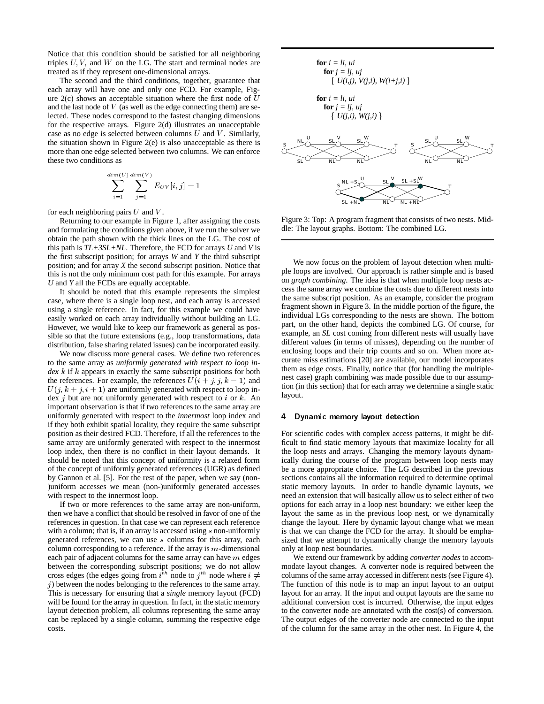Notice that this condition should be satisfied for all neighboring triples  $U, V$ , and  $W$  on the LG. The start and terminal nodes are treated as if they represent one-dimensional arrays.

The second and the third conditions, together, guarantee that each array will have one and only one FCD. For example, Figure  $2(c)$  shows an acceptable situation where the first node of  $U$ and the last node of  $V$  (as well as the edge connecting them) are selected. These nodes correspond to the fastest changing dimensions for the respective arrays. Figure 2(d) illustrates an unacceptable case as no edge is selected between columns  $U$  and  $V$ . Similarly, the situation shown in Figure 2(e) is also unacceptable as there is more than one edge selected between two columns. We can enforce these two conditions as

$$
\sum_{i=1}^{dim(U)} \sum_{j=1}^{dim(V)} E_{UV}[i,j] = 1
$$

for each neighboring pairs  $U$  and  $V$ .

Returning to our example in Figure 1, after assigning the costs and formulating the conditions given above, if we run the solver we obtain the path shown with the thick lines on the LG. The cost of this path is *TL+3SL+NL*. Therefore, the FCD for arrays *U* and *V* is the first subscript position; for arrays *W* and *Y* the third subscript position; and for array *X* the second subscript position. Notice that this is not the only minimum cost path for this example. For arrays *U* and *Y* all the FCDs are equally acceptable.

It should be noted that this example represents the simplest case, where there is a single loop nest, and each array is accessed using a single reference. In fact, for this example we could have easily worked on each array individually without building an LG. However, we would like to keep our framework as general as possible so that the future extensions (e.g., loop transformations, data distribution, false sharing related issues) can be incorporated easily.

We now discuss more general cases. We define two references to the same array as *uniformly generated with respect to loop index* k if k appears in exactly the same subscript positions for both the references. For example, the references  $U(i + j, j, k - 1)$  and  $U(j, k + j, i + 1)$  are uniformly generated with respect to loop index  $j$  but are not uniformly generated with respect to  $i$  or  $k$ . An important observation is that if two references to the same array are uniformly generated with respect to the *innermost* loop index and if they both exhibit spatial locality, they require the same subscript position as their desired FCD. Therefore, if all the references to the same array are uniformly generated with respect to the innermost loop index, then there is no conflict in their layout demands. It should be noted that this concept of uniformity is a relaxed form of the concept of uniformly generated references (UGR) as defined by Gannon et al. [5]. For the rest of the paper, when we say (non- )uniform accesses we mean (non-)uniformly generated accesses with respect to the innermost loop.

If two or more references to the same array are non-uniform, then we have a conflict that should be resolved in favor of one of the references in question. In that case we can represent each reference with a column; that is, if an array is accessed using s non-uniformly generated references, we can use <sup>s</sup> columns for this array, each column corresponding to a reference. If the array is  $m$ -dimensional each pair of adjacent columns for the same array can have  $m$  edges between the corresponding subscript positions; we do not allow cross edges (the edges going from  $i^{th}$  node to  $j^{th}$  node where  $i \neq$  columns  $j$ ) between the nodes belonging to the references to the same array. This is necessary for ensuring that a *single* memory layout (FCD) will be found for the array in question. In fact, in the static memory layout detection problem, all columns representing the same array can be replaced by a single column, summing the respective edge costs.



Figure 3: Top: A program fragment that consists of two nests. Middle: The layout graphs. Bottom: The combined LG.

We now focus on the problem of layout detection when multiple loops are involved. Our approach is rather simple and is based on *graph combining*. The idea is that when multiple loop nests access the same array we combine the costs due to different nests into the same subscript position. As an example, consider the program fragment shown in Figure 3. In the middle portion of the figure, the individual LGs corresponding to the nests are shown. The bottom part, on the other hand, depicts the combined LG. Of course, for example, an *SL* cost coming from different nests will usually have different values (in terms of misses), depending on the number of enclosing loops and their trip counts and so on. When more accurate miss estimations [20] are available, our model incorporates them as edge costs. Finally, notice that (for handling the multiplenest case) graph combining was made possible due to our assumption (in this section) that for each array we determine a single static layout.

### 4 Dynamic memory layout detection

For scientific codes with complex access patterns, it might be difficult to find static memory layouts that maximize locality for all the loop nests and arrays. Changing the memory layouts dynamically during the course of the program between loop nests may be a more appropriate choice. The LG described in the previous sections contains all the information required to determine optimal static memory layouts. In order to handle dynamic layouts, we need an extension that will basically allow us to select either of two options for each array in a loop nest boundary: we either keep the layout the same as in the previous loop nest, or we dynamically change the layout. Here by dynamic layout change what we mean is that we can change the FCD for the array. It should be emphasized that we attempt to dynamically change the memory layouts only at loop nest boundaries.

We extend our framework by adding *converter nodes* to accommodate layout changes. A converter node is required between the columns of the same array accessed in different nests (see Figure 4). The function of this node is to map an input layout to an output layout for an array. If the input and output layouts are the same no additional conversion cost is incurred. Otherwise, the input edges to the converter node are annotated with the cost(s) of conversion. The output edges of the converter node are connected to the input of the column for the same array in the other nest. In Figure 4, the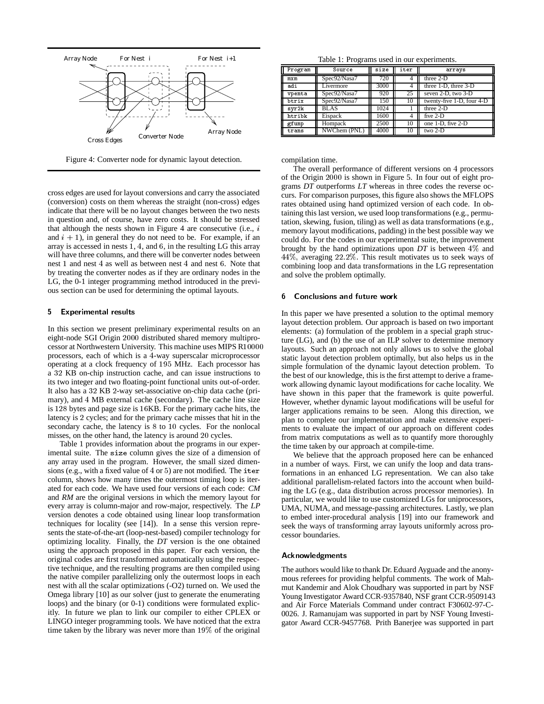

Figure 4: Converter node for dynamic layout detection.

Table 1: Programs used in our experiments.

| Program | Source       | $\overline{\text{size}}$ | iter | arrays                    |
|---------|--------------|--------------------------|------|---------------------------|
| mxm     | Spec92/Nasa7 | 720                      |      | three $2-D$               |
| adi     | Livermore    | 3000                     |      | three 1-D, three 3-D      |
| vpenta  | Spec92/Nasa7 | 920                      | 25   | seven 2-D, two 3-D        |
| btrix   | Spec92/Nasa7 | 150                      | 10   | twenty-five 1-D, four 4-D |
| syr2k   | <b>BLAS</b>  | 1024                     |      | three $2-D$               |
| htribk  | Eispack      | 1600                     | 4    | five $2-D$                |
| gfunp   | Hompack      | 2500                     | 10   | one 1-D, five 2-D         |
| trans   | NWChem (PNL) | 4000                     | 10   | $two 2-D$                 |

compilation time.

cross edges are used for layout conversions and carry the associated (conversion) costs on them whereas the straight (non-cross) edges indicate that there will be no layout changes between the two nests in question and, of course, have zero costs. It should be stressed that although the nests shown in Figure 4 are consecutive (i.e.,  $i$ and  $i + 1$ ), in general they do not need to be. For example, if an array is accessed in nests <sup>1</sup>, <sup>4</sup>, and <sup>6</sup>, in the resulting LG this array will have three columns, and there will be converter nodes between nest <sup>1</sup> and nest <sup>4</sup> as well as between nest <sup>4</sup> and nest <sup>6</sup>. Note that by treating the converter nodes as if they are ordinary nodes in the LG, the 0-1 integer programming method introduced in the previous section can be used for determining the optimal layouts.

# 5 Experimental results

In this section we present preliminary experimental results on an eight-node SGI Origin <sup>2000</sup> distributed shared memory multiprocessor at Northwestern University. This machine uses MIPS R<sup>10000</sup> processors, each of which is a <sup>4</sup>-way superscalar microprocessor operating at a clock frequency of <sup>195</sup> MHz. Each processor has a <sup>32</sup> KB on-chip instruction cache, and can issue instructions to its two integer and two floating-point functional units out-of-order. It also has a <sup>32</sup> KB <sup>2</sup>-way set-associative on-chip data cache (primary), and <sup>4</sup> MB external cache (secondary). The cache line size is <sup>128</sup> bytes and page size is <sup>16</sup>KB. For the primary cache hits, the latency is <sup>2</sup> cycles; and for the primary cache misses that hit in the secondary cache, the latency is <sup>8</sup> to <sup>10</sup> cycles. For the nonlocal misses, on the other hand, the latency is around <sup>20</sup> cycles.

Table 1 provides information about the programs in our experimental suite. The size column gives the size of a dimension of any array used in the program. However, the small sized dimensions (e.g., with a fixed value of <sup>4</sup> or <sup>5</sup>) are not modified. The iter column, shows how many times the outermost timing loop is iterated for each code. We have used four versions of each code: *CM* and *RM* are the original versions in which the memory layout for every array is column-major and row-major, respectively. The *LP* version denotes a code obtained using linear loop transformation techniques for locality (see [14]). In a sense this version represents the state-of-the-art (loop-nest-based) compiler technology for optimizing locality. Finally, the *DT* version is the one obtained using the approach proposed in this paper. For each version, the original codes are first transformed automatically using the respective technique, and the resulting programs are then compiled using the native compiler parallelizing only the outermost loops in each nest with all the scalar optimizations (-O2) turned on. We used the Omega library [10] as our solver (just to generate the enumerating loops) and the binary (or 0-1) conditions were formulated explicitly. In future we plan to link our compiler to either CPLEX or LINGO integer programming tools. We have noticed that the extra time taken by the library was never more than 19% of the original

The overall performance of different versions on <sup>4</sup> processors of the Origin <sup>2000</sup> is shown in Figure 5. In four out of eight programs *DT* outperforms *LT* whereas in three codes the reverse occurs. For comparison purposes, this figure also shows the MFLOPS rates obtained using hand optimized version of each code. In obtaining this last version, we used loop transformations (e.g., permutation, skewing, fusion, tiling) as well as data transformations (e.g., memory layout modifications, padding) in the best possible way we could do. For the codes in our experimental suite, the improvement brought by the hand optimizations upon *DT* is between 4% and 44%; averaging 22:2%: This result motivates us to seek ways of combining loop and data transformations in the LG representation and solve the problem optimally.

# 6 Conclusions and future work

In this paper we have presented a solution to the optimal memory layout detection problem. Our approach is based on two important elements: (a) formulation of the problem in a special graph structure (LG), and (b) the use of an ILP solver to determine memory layouts. Such an approach not only allows us to solve the global static layout detection problem optimally, but also helps us in the simple formulation of the dynamic layout detection problem. To the best of our knowledge, this is the first attempt to derive a framework allowing dynamic layout modifications for cache locality. We have shown in this paper that the framework is quite powerful. However, whether dynamic layout modifications will be useful for larger applications remains to be seen. Along this direction, we plan to complete our implementation and make extensive experiments to evaluate the impact of our approach on different codes from matrix computations as well as to quantify more thoroughly the time taken by our approach at compile-time.

We believe that the approach proposed here can be enhanced in a number of ways. First, we can unify the loop and data transformations in an enhanced LG representation. We can also take additional parallelism-related factors into the account when building the LG (e.g., data distribution across processor memories). In particular, we would like to use customized LGs for uniprocessors, UMA, NUMA, and message-passing architectures. Lastly, we plan to embed inter-procedural analysis [19] into our framework and seek the ways of transforming array layouts uniformly across processor boundaries.

# Acknowledgments

The authors would like to thank Dr. Eduard Ayguade and the anonymous referees for providing helpful comments. The work of Mahmut Kandemir and Alok Choudhary was supported in part by NSF Young Investigator Award CCR-9357840, NSF grant CCR-9509143 and Air Force Materials Command under contract F30602-97-C-0026. J. Ramanujam was supported in part by NSF Young Investigator Award CCR-9457768. Prith Banerjee was supported in part